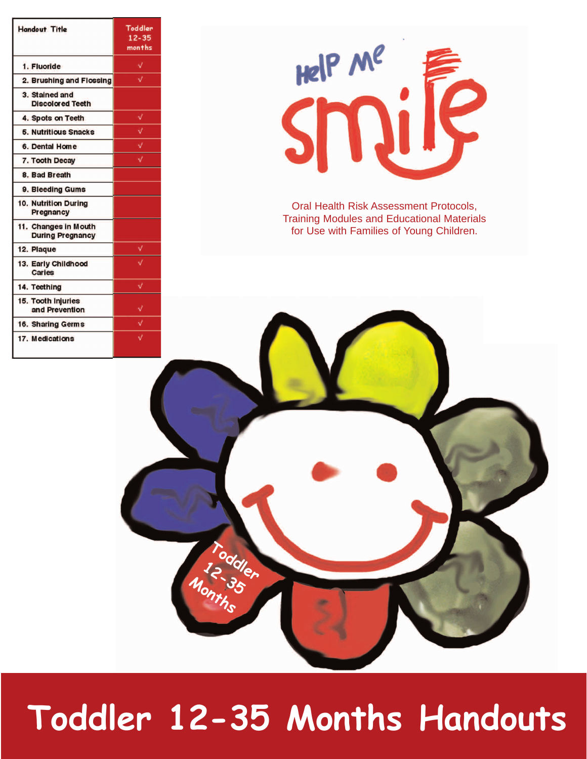| <b>Handout Title</b>                            | Toddler<br>$12 - 35$<br>months |
|-------------------------------------------------|--------------------------------|
| 1. Fluoride                                     | ۷                              |
| 2. Brushing and Flossing                        | √                              |
| 3. Stained and<br><b>Discolored Teeth</b>       |                                |
| 4. Spots on Teeth                               | V                              |
| <b>5. Nutritious Snacks</b>                     | √                              |
| 6. Dental Home                                  | √                              |
| 7. Tooth Decay                                  | V                              |
| 8. Bad Breath                                   |                                |
| 9. Bleeding Gums                                |                                |
| 10. Nutrition During<br>Pregnancy               |                                |
| 11. Changes in Mouth<br><b>During Pregnancy</b> |                                |
| 12. Plaque                                      | V                              |
| 13. Early Childhood<br>Caries                   |                                |
| 14. Teething                                    | v                              |
| 15. Tooth Injuries<br>and Prevention            |                                |
| 16. Sharing Germs                               | ∛                              |
| 17. Medications                                 |                                |



Oral Health Risk Assessment Protocols, Training Modules and Educational Materials for Use with Families of Young Children.



# **Toddler 12-35 Months Handouts**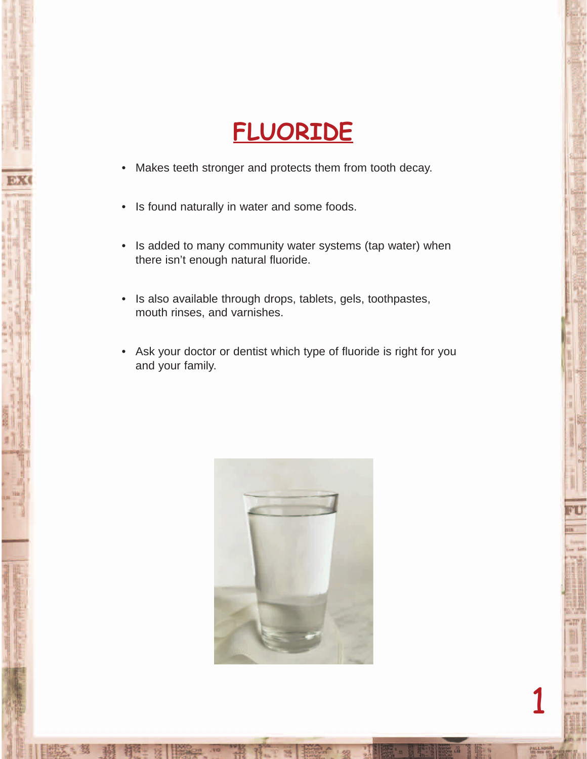#### **FLUORIDE**

- Makes teeth stronger and protects them from tooth decay.
- Is found naturally in water and some foods.
- Is added to many community water systems (tap water) when there isn't enough natural fluoride.
- Is also available through drops, tablets, gels, toothpastes, mouth rinses, and varnishes.
- Ask your doctor or dentist which type of fluoride is right for you and your family.

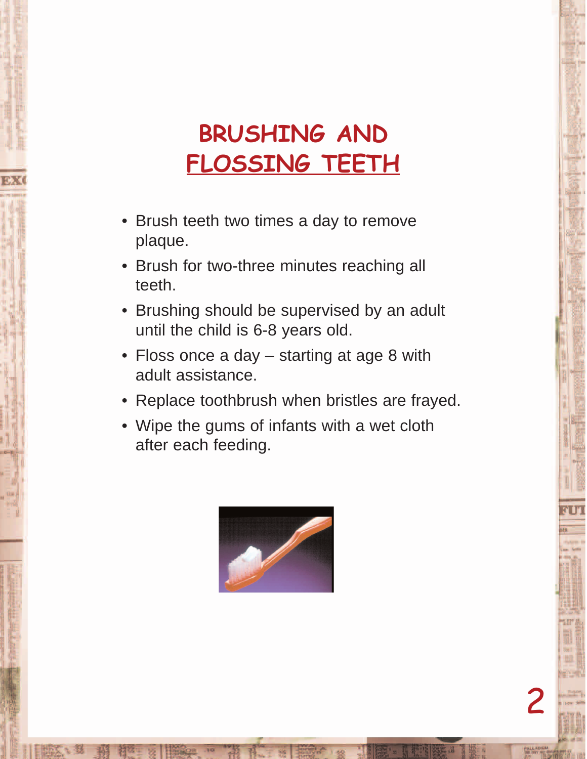### **BRUSHING AND FLOSSING TEETH**

- Brush teeth two times a day to remove plaque.
- Brush for two-three minutes reaching all teeth.
- Brushing should be supervised by an adult until the child is 6-8 years old.
- Floss once a day starting at age 8 with adult assistance.
- Replace toothbrush when bristles are frayed.
- Wipe the gums of infants with a wet cloth after each feeding.

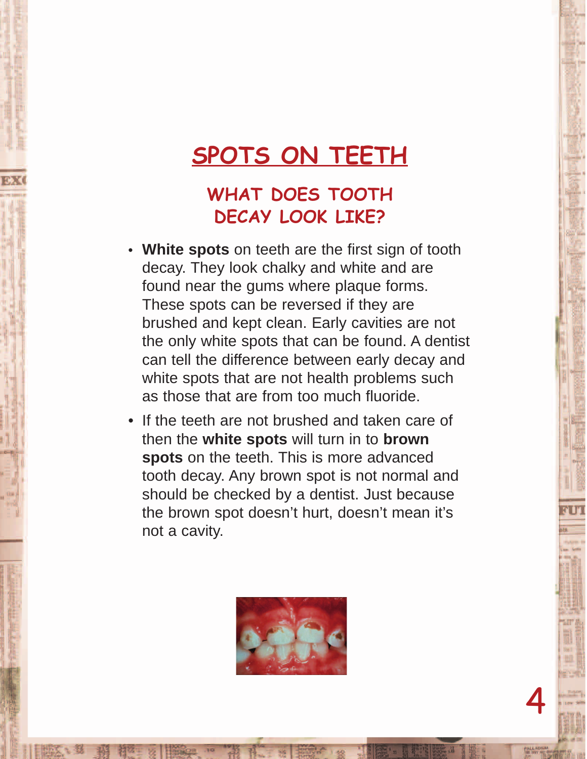#### **SPOTS ON TEETH**

#### **WHAT DOES TOOTH DECAY LOOK LIKE?**

- **White spots** on teeth are the first sign of tooth decay. They look chalky and white and are found near the gums where plaque forms. These spots can be reversed if they are brushed and kept clean. Early cavities are not the only white spots that can be found. A dentist can tell the difference between early decay and white spots that are not health problems such as those that are from too much fluoride.
- If the teeth are not brushed and taken care of then the **white spots** will turn in to **brown spots** on the teeth. This is more advanced tooth decay. Any brown spot is not normal and should be checked by a dentist. Just because the brown spot doesn't hurt, doesn't mean it's not a cavity.

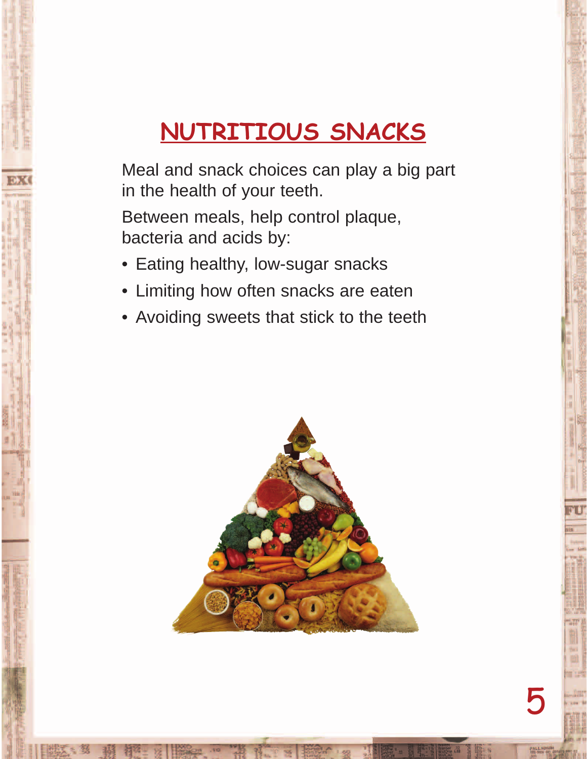## **NUTRITIOUS SNACKS**

Meal and snack choices can play a big part in the health of your teeth.

Between meals, help control plaque, bacteria and acids by:

- Eating healthy, low-sugar snacks
- Limiting how often snacks are eaten
- Avoiding sweets that stick to the teeth

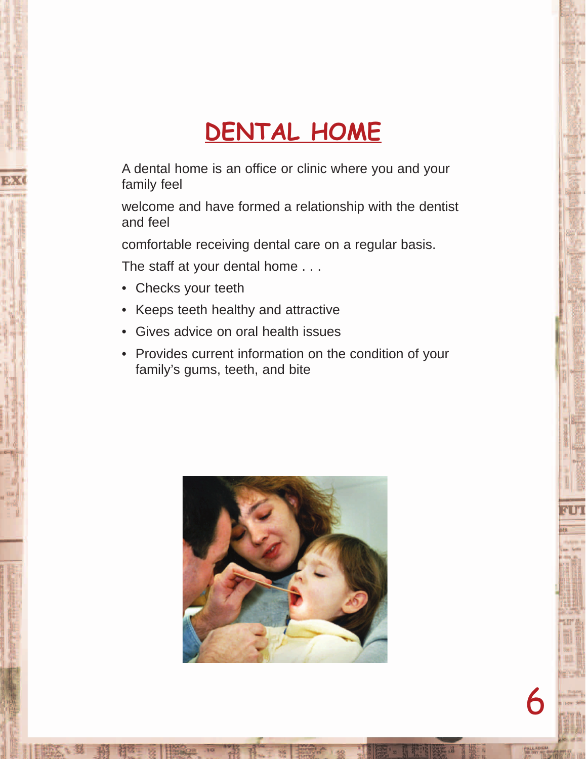#### **DENTAL HOME**

A dental home is an office or clinic where you and your family feel

welcome and have formed a relationship with the dentist and feel

comfortable receiving dental care on a regular basis.

The staff at your dental home . . .

- Checks your teeth
- Keeps teeth healthy and attractive
- Gives advice on oral health issues
- Provides current information on the condition of your family's gums, teeth, and bite

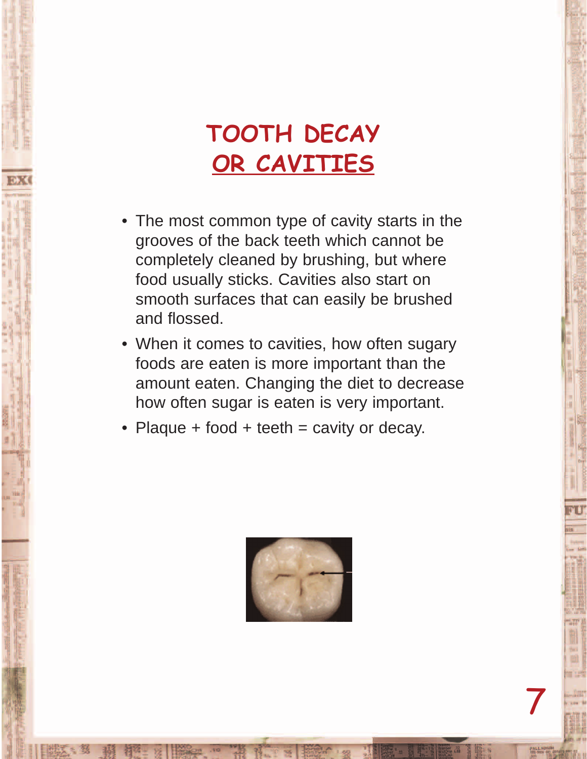#### **TOOTH DECAY OR CAVITIES**

- The most common type of cavity starts in the grooves of the back teeth which cannot be completely cleaned by brushing, but where food usually sticks. Cavities also start on smooth surfaces that can easily be brushed and flossed.
- When it comes to cavities, how often sugary foods are eaten is more important than the amount eaten. Changing the diet to decrease how often sugar is eaten is very important.
- Plaque  $+$  food  $+$  teeth  $=$  cavity or decay.

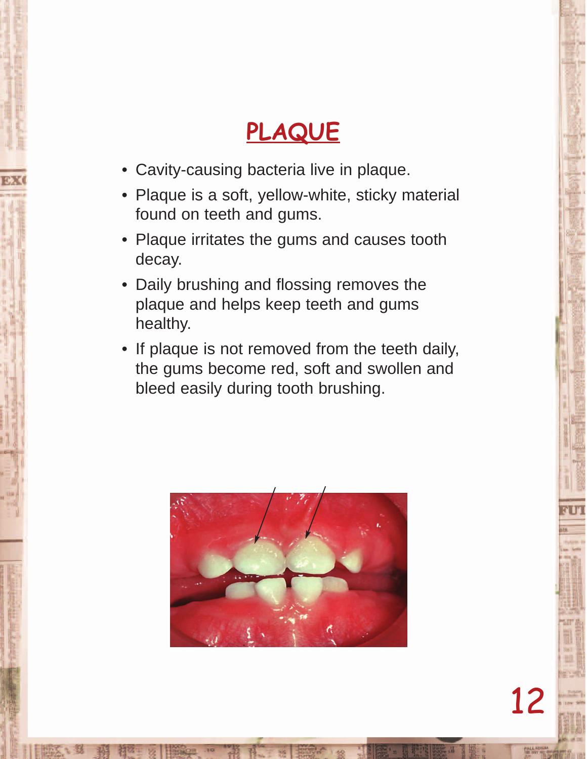#### **PLAQUE**

- Cavity-causing bacteria live in plaque.
- Plaque is a soft, yellow-white, sticky material found on teeth and gums.
- Plaque irritates the gums and causes tooth decay.
- Daily brushing and flossing removes the plaque and helps keep teeth and gums healthy.
- If plaque is not removed from the teeth daily, the gums become red, soft and swollen and bleed easily during tooth brushing.

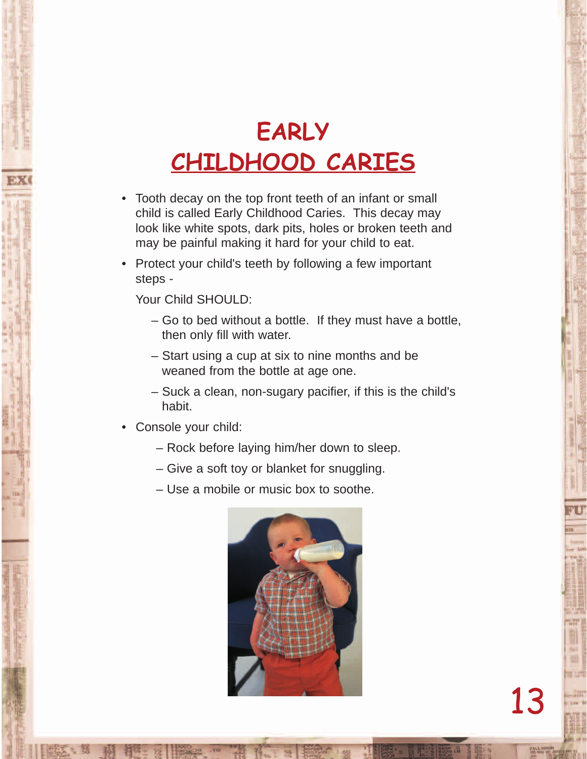#### **EARLY CHILDHOOD CARIES**

- Tooth decay on the top front teeth of an infant or small child is called Early Childhood Caries. This decay may look like white spots, dark pits, holes or broken teeth and may be painful making it hard for your child to eat.
- Protect your child's teeth by following a few important steps -

Your Child SHOULD:

- Go to bed without a bottle. If they must have a bottle, then only fill with water.
- Start using a cup at six to nine months and be weaned from the bottle at age one.
- Suck a clean, non-sugary pacifier, if this is the child's habit.
- Console your child:
	- Rock before laying him/her down to sleep.
	- Give a soft toy or blanket for snuggling.
	- Use a mobile or music box to soothe.

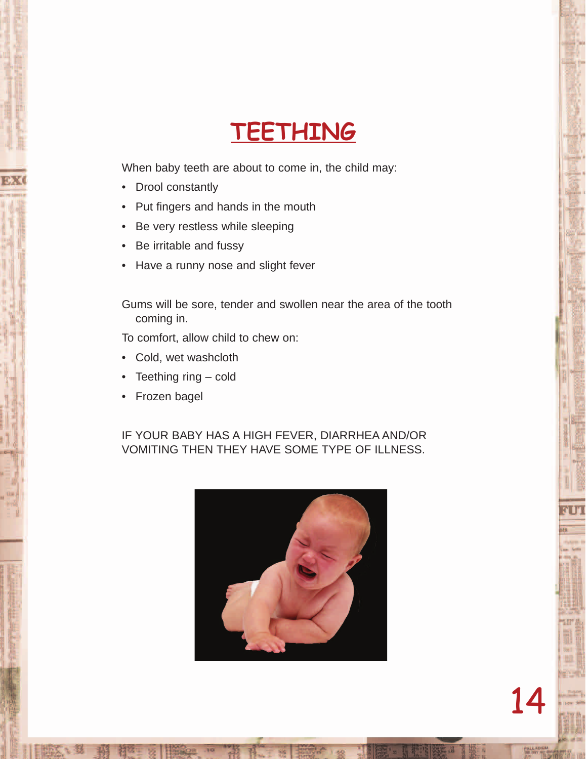

When baby teeth are about to come in, the child may:

- Drool constantly
- Put fingers and hands in the mouth
- Be very restless while sleeping
- Be irritable and fussy
- Have a runny nose and slight fever

Gums will be sore, tender and swollen near the area of the tooth coming in.

To comfort, allow child to chew on:

- Cold, wet washcloth
- Teething ring cold
- Frozen bagel

#### IF YOUR BABY HAS A HIGH FEVER, DIARRHEA AND/OR VOMITING THEN THEY HAVE SOME TYPE OF ILLNESS.

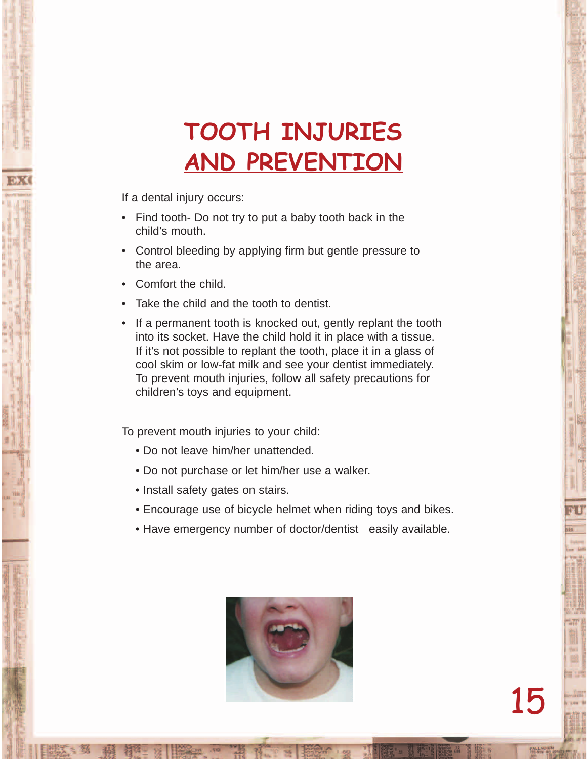#### **TOOTH INJURIES AND PREVENTION**

If a dental injury occurs:

- Find tooth- Do not try to put a baby tooth back in the child's mouth.
- Control bleeding by applying firm but gentle pressure to the area.
- Comfort the child.
- Take the child and the tooth to dentist.
- If a permanent tooth is knocked out, gently replant the tooth into its socket. Have the child hold it in place with a tissue. If it's not possible to replant the tooth, place it in a glass of cool skim or low-fat milk and see your dentist immediately. To prevent mouth injuries, follow all safety precautions for children's toys and equipment.

To prevent mouth injuries to your child:

- Do not leave him/her unattended.
- Do not purchase or let him/her use a walker.
- Install safety gates on stairs.
- Encourage use of bicycle helmet when riding toys and bikes.
- Have emergency number of doctor/dentist easily available.

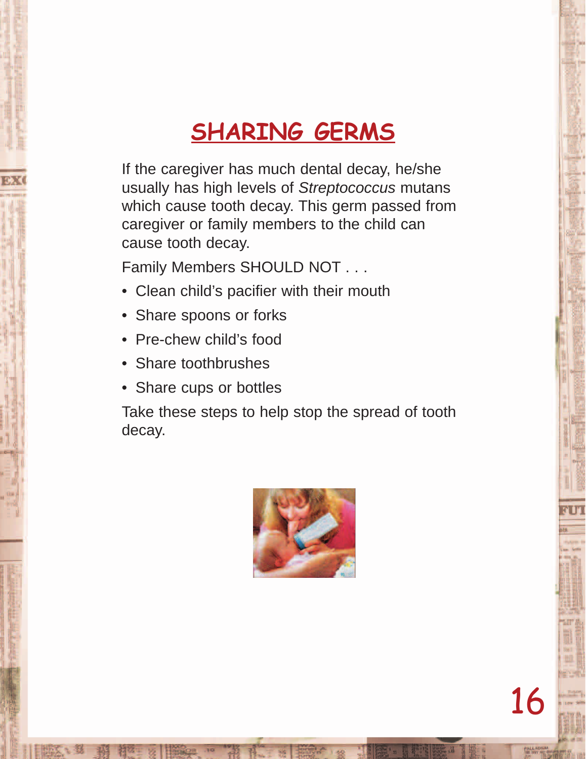#### **SHARING GERMS**

If the caregiver has much dental decay, he/she usually has high levels of Streptococcus mutans which cause tooth decay. This germ passed from caregiver or family members to the child can cause tooth decay.

Family Members SHOULD NOT . . .

- Clean child's pacifier with their mouth
- Share spoons or forks
- Pre-chew child's food
- Share toothbrushes
- Share cups or bottles

Take these steps to help stop the spread of tooth decay.